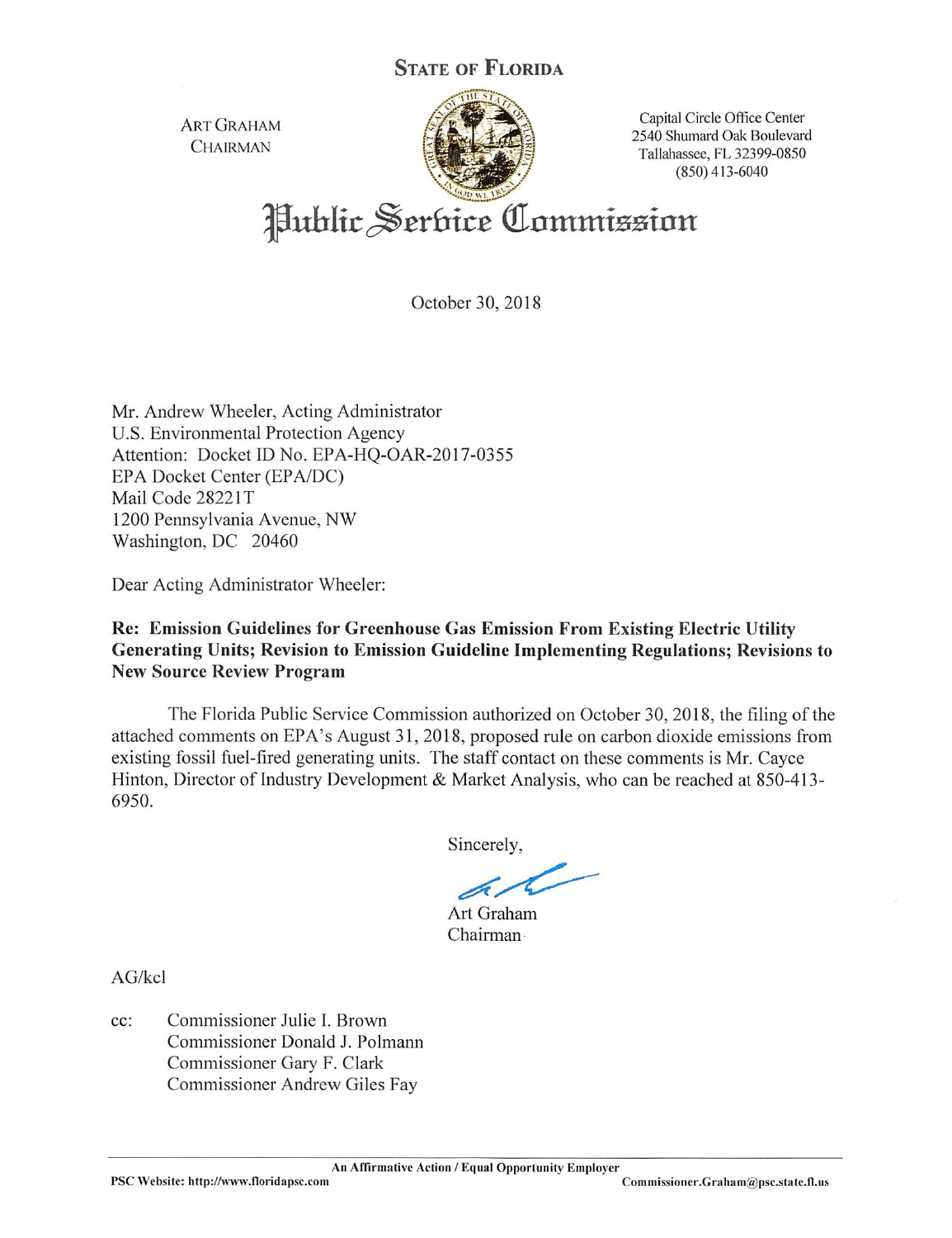ART GRAHAM CHAIRMAN



Capital Circle Office Center 2540 Shumard Oak Boulevard Tallahassee, FL 32399-0850 (850)413-6040

Public Serbice Commission

October 30, 2018

Mr. Andrew Wheeler, Acting Administrator U.S. Environmental Protection Agency Attention: Docket ID No. EPA-HQ-OAR-2017-0355 EPA Docket Center (EPA/DC) Mail Code 2822IT 1200 Pennsylvania Avenue, NW Washington, DC 20460

Dear Acting Administrator Wheeler:

# Re: Emission Guidelines for Greenhouse Gas Emission From Existing Electric Utility Generating Units; Revision to Emission Guideline Implementing Regulations; Revisions to New Source Review Program

The Florida Public Service Commission authorized on October 30, 2018, the filing of the attached comments on EPA's August 31, 2018, proposed rule on carbon dioxide emissions from existing fossil fuel-fired generating units. The staff contact on these comments is Mr. Cayce Hinton, Director of Industry Development & Market Analysis, who can be reached at 850-413- 6950.

Sincerely,

Art Graham Chairman

AG/kcl

cc: Commissioner Julie I. Brown Commissioner Donald J. Polmann Commissioner Gary F. Clark Commissioner Andrew Giles Fay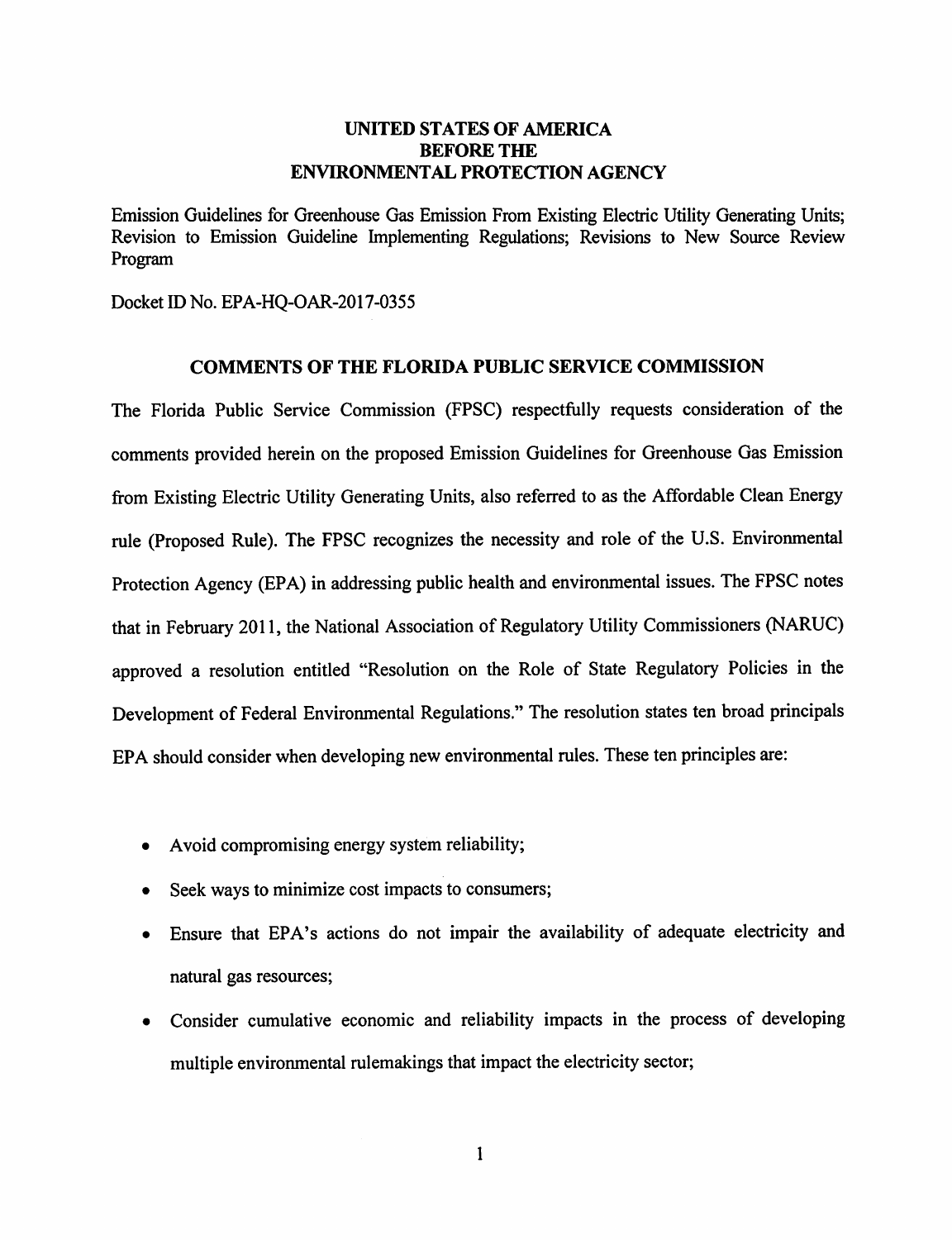## UNITED STATES OF AMERICA BEFORE THE ENVIRONMENTAL PROTECTION AGENCY

Emission Guidelines for Greenhouse Gas Emission From Existing Electric Utility Generating Units; Revision to Emission Guideline Implementing Regulations; Revisions to New Source Review Program

Docket ID No. EPA-HQ-OAR-2017-0355

#### COMMENTS OF THE FLORIDA PUBLIC SERVICE COMMISSION

The Florida Public Service Commission (FPSC) respectfully requests consideration of the comments provided herein on the proposed Emission Guidelines for Greenhouse Gas Emission from Existing Electric Utility Generating Units, also referred to as the Affordable Clean Energy rule (Proposed Rule). The FPSC recognizes the necessity and role of the U.S. Environmental Protection Agency (EPA) in addressing public health and environmental issues. The FPSC notes that in February 2011, the National Association of Regulatory Utility Commissioners (NARUC) approved a resolution entitled "Resolution on the Role of State Regulatory Policies in the Development of Federal Environmental Regulations." The resolution states ten broad principals EPA should consider when developing new environmental rules. These ten principles are:

- Avoid compromising energy system reliability;
- Seek ways to minimize cost impacts to consumers;
- Ensure that EPA's actions do not impair the availability of adequate electricity and natural gas resources;
- Consider cumulative economic and reliability impacts in the process of developing multiple environmental rulemakings that impact the electricity sector;

 $\mathbf{1}$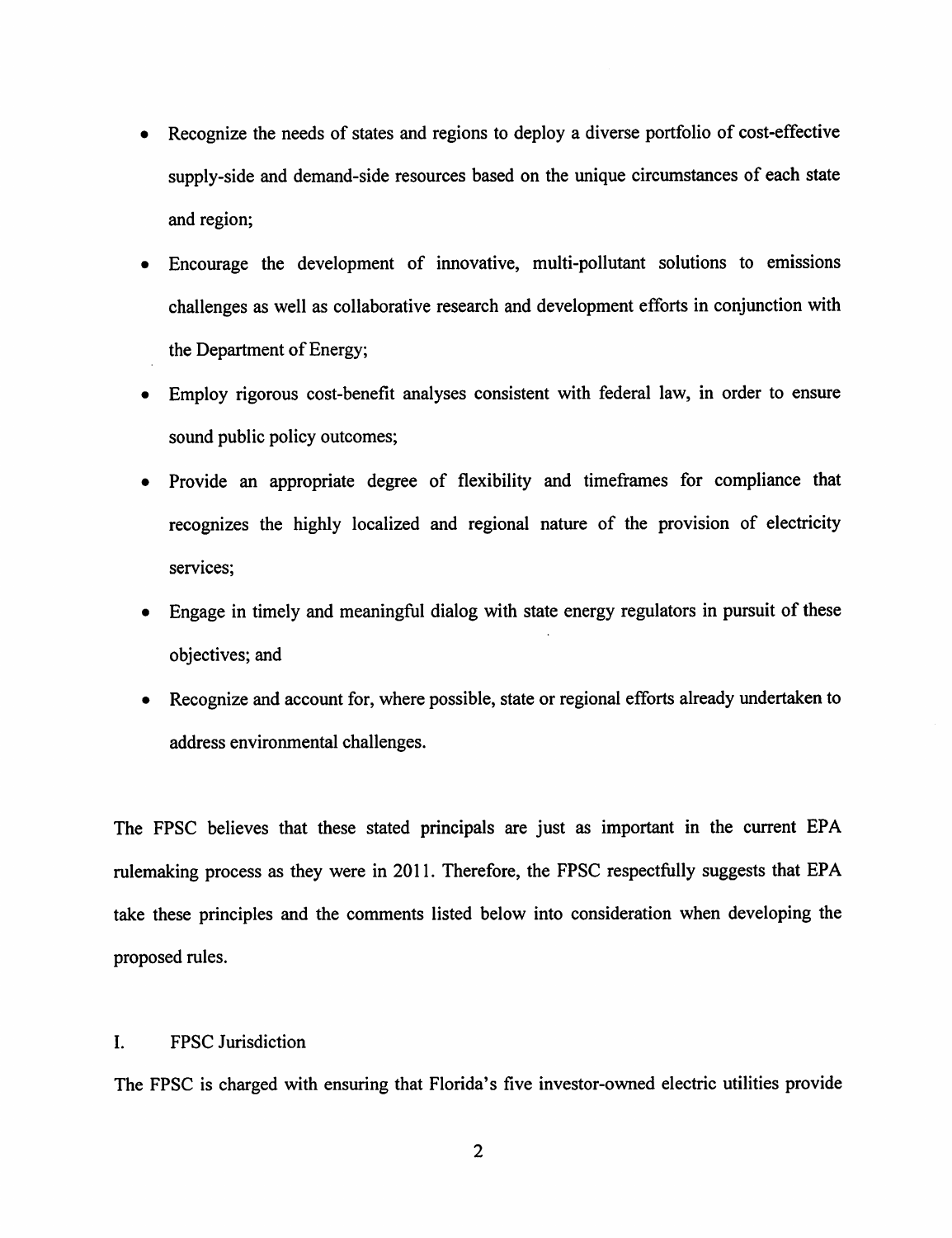- Recognize the needs of states and regions to deploy a diverse portfolio of cost-effective supply-side and demand-side resources based on the unique circumstances of each state and region;
- Encourage the development of innovative, multi-pollutant solutions to emissions challenges as well as collaborative research and development efforts in conjunction with the Department of Energy;
- Employ rigorous cost-benefit analyses consistent with federal law, in order to ensure sound public policy outcomes;
- Provide an appropriate degree of flexibility and timeffames for compliance that recognizes the highly localized and regional nature of the provision of electricity services;
- Engage in timely and meaningful dialog with state energy regulators in pursuit of these objectives; and
- Recognize and account for, where possible, state or regional efforts already undertaken to address environmental challenges.

The FPSC believes that these stated principals are just as important in the current EPA rulemaking process as they were in 2011. Therefore, the FPSC respectfully suggests that EPA take these principles and the comments listed below into consideration when developing the proposed rules.

## I. FPSC Jurisdiction

The FPSC is charged with ensuring that Florida's five investor-owned electric utilities provide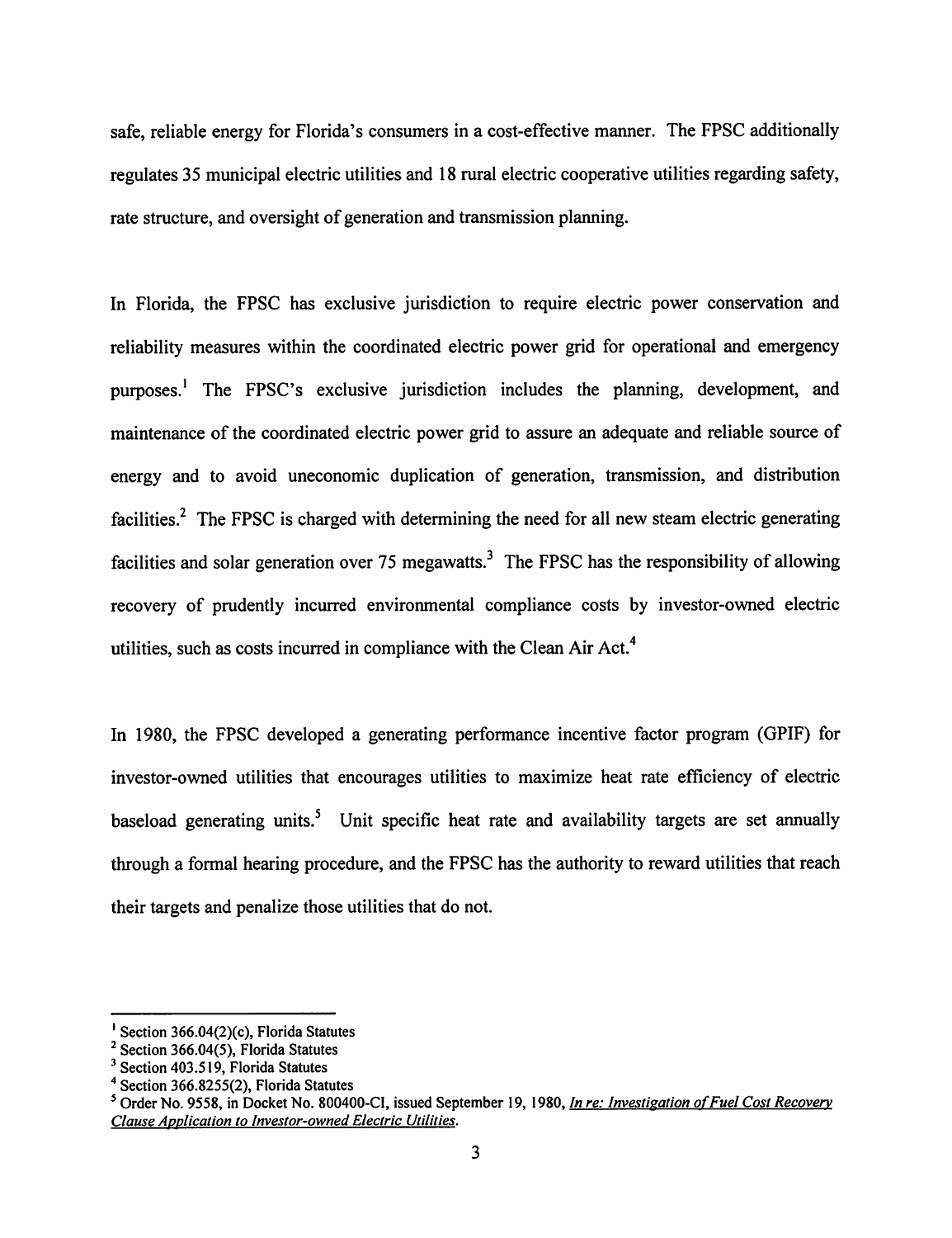safe, reliable energy for Florida's consumers in a cost-effective manner. The FPSC additionally regulates 35 municipal electric utilities and 18 rural electric cooperative utilities regarding safety, rate structure, and oversight of generation and transmission planning.

In Florida, the FPSC has exclusive jurisdiction to require electric power conservation and reliability measures within the coordinated electric power grid for operational and emergency purposes.' The FPSC's exclusive jurisdiction includes the planning, development, and maintenance of the coordinated electric power grid to assure an adequate and reliable source of energy and to avoid uneconomic duplication of generation, transmission, and distribution facilities.<sup>2</sup> The FPSC is charged with determining the need for all new steam electric generating facilities and solar generation over 75 megawatts.<sup>3</sup> The FPSC has the responsibility of allowing recovery of prudently incurred environmental compliance costs by investor-owned electric utilities, such as costs incurred in compliance with the Clean Air Act.''

In 1980, the FPSC developed a generating performance incentive factor program (GPIF) for investor-owned utilities that encourages utilities to maximize heat rate efficiency of electric baseload generating units.<sup>5</sup> Unit specific heat rate and availability targets are set annually through a formal hearing procedure, and the FPSC has the authority to reward utilities that reach their targets and penalize those utilities that do not.

<sup>&#</sup>x27; Section 366.04(2)(c), Florida Statutes

<sup>&</sup>lt;sup>2</sup> Section 366.04(5), Florida Statutes

 $3$  Section 403.519, Florida Statutes

 $4$  Section 366.8255(2), Florida Statutes

 $^5$  Order No. 9558, in Docket No. 800400-CI, issued September 19, 1980, In re: Investigation of Fuel Cost Recovery Clause Application to Investor-owned Electric Utilities.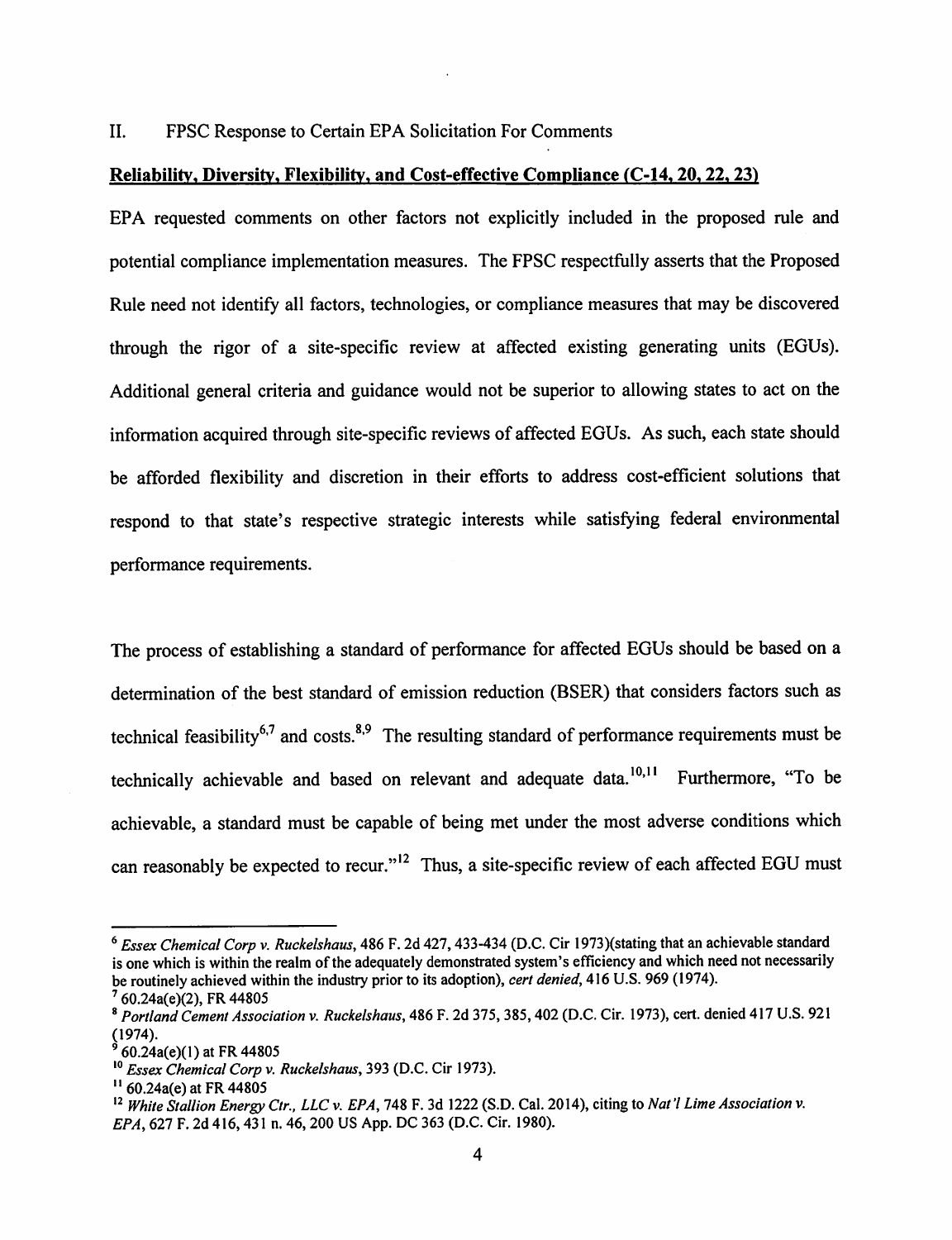11. FPSC Response to Certain EPA Solicitation For Comments

#### Reliability, Diversity, Flexibility, and Cost-effective Compliance (C-14, 20, 22, 23)

EPA requested comments on other factors not explicitly included in the proposed rule and potential compliance implementation measures. The FPSC respectfully asserts that the Proposed Rule need not identify all factors, technologies, or compliance measures that may be discovered through the rigor of a site-specific review at affected existing generating units (EGUs). Additional general criteria and guidance would not be superior to allowing states to act on the information acquired through site-specific reviews of affected EGUs. As such, each state should be afforded flexibility and discretion in their efforts to address cost-efficient solutions that respond to that state's respective strategic interests while satisfying federal environmental performance requirements.

The process of establishing a standard of performance for affected EGUs should be based on a determination of the best standard of emission reduction (BSER) that considers factors such as technical feasibility<sup>6,7</sup> and costs.<sup>8,9</sup> The resulting standard of performance requirements must be technically achievable and based on relevant and adequate data.<sup>10,11</sup> Furthermore, "To be achievable, a standard must be capable of being met under the most adverse conditions which can reasonably be expected to recur."<sup>12</sup> Thus, a site-specific review of each affected EGU must

 $^6$  Essex Chemical Corp v. Ruckelshaus, 486 F. 2d 427, 433-434 (D.C. Cir 1973)(stating that an achievable standard is one which is within the realm of the adequately demonstrated system's efficiency and which need not necessarily be routinely achieved within the industry prior to its adoption), *cert denied*, 416 U.S. 969 (1974). is one which is within the<br>be routinely achieved wit<br> $^{7}$  60.24a(e)(2), FR 44805<br> $^{8}$  Portland Cement Associ

<sup>®</sup> Portland Cement Association v. Ruckelshaus, 486 F. 2d 375, 385,402 (D.C. Cir. 1973), cert, denied 417 U.S. 921  $(1974)$ .

<sup>60.24</sup>a(e)(1) at FR 44805

<sup>&</sup>lt;sup>10</sup> Essex Chemical Corp v. Ruckelshaus, 393 (D.C. Cir 1973).

 $^{11}$  60.24a(e) at FR 44805

<sup>&</sup>lt;sup>12</sup> White Stallion Energy Ctr., LLC v. EPA, 748 F. 3d 1222 (S.D. Cal. 2014), citing to Nat'l Lime Association v. EPA, 627 F. 2d 416,431 n. 46,200 US App. DC 363 (D.C. Cir. 1980).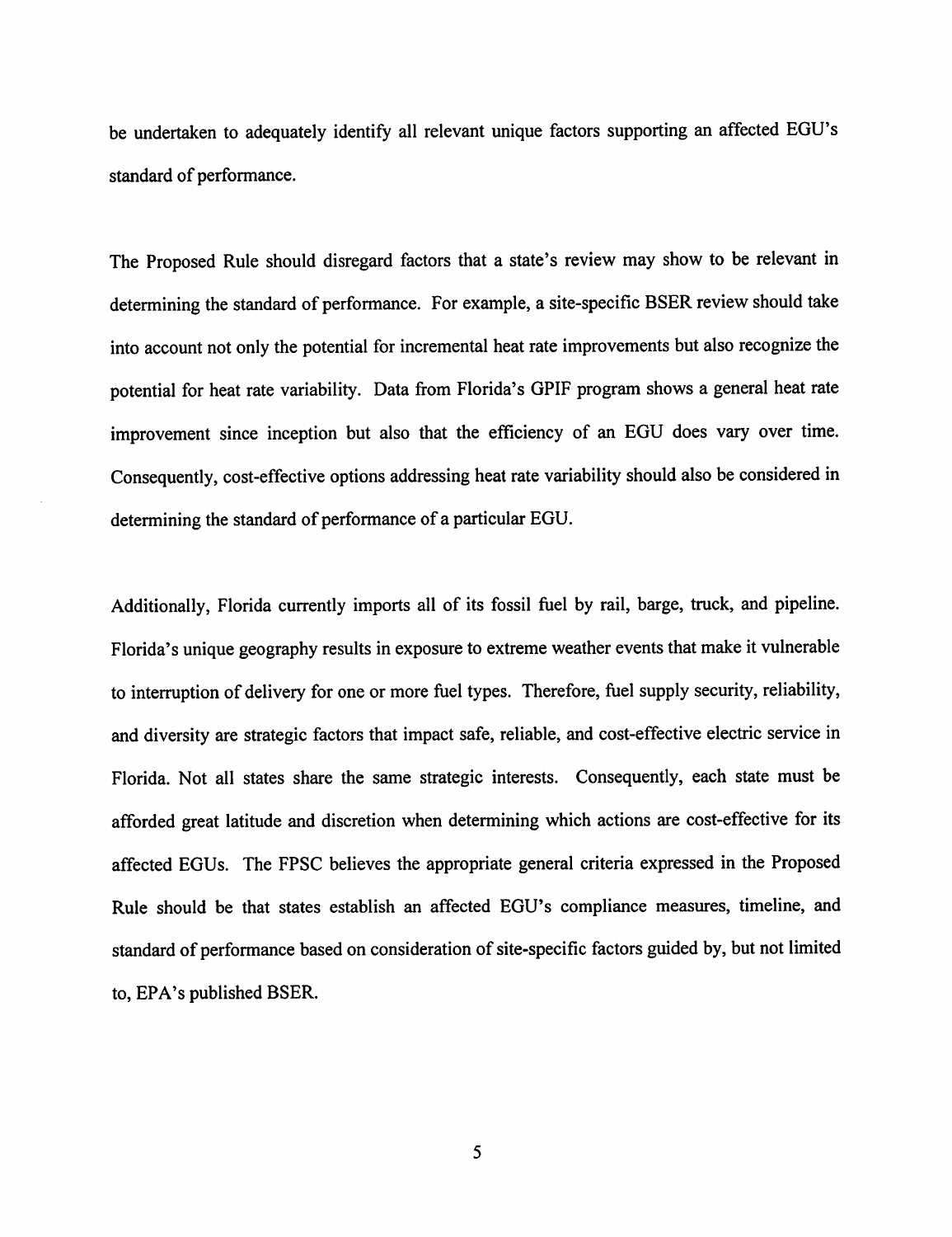be undertaken to adequately identify all relevant unique factors supporting an affected EGU's standard of performance.

The Proposed Rule should disregard factors that a state's review may show to be relevant in determining the standard of performance. For example, a site-specific BSER review should take into account not only the potential for incremental heat rate improvements but also recognize the potential for heat rate variability. Data from Florida's GPIF program shows a general heat rate improvement since inception but also that the efficiency of an EGU does vary over time. Consequently, cost-effective options addressing heat rate variability should also be considered in determining the standard of performance of a particular EGU.

Additionally, Florida currently imports all of its fossil fuel by rail, barge, truck, and pipeline. Florida's unique geography results in exposure to extreme weather events that make it vulnerable to interruption of delivery for one or more fuel types. Therefore, fuel supply security, reliability, and diversity are strategic factors that impact safe, reliable, and cost-effective electric service in Florida. Not all states share the same strategic interests. Consequently, each state must be afforded great latitude and discretion when determining which actions are cost-effective for its affected EGUs. The FPSC believes the appropriate general criteria expressed in the Proposed Rule should be that states establish an affected EGU's compliance measures, timeline, and standard of performance based on consideration of site-specific factors guided by, but not limited to, EPA's published BSER,

5